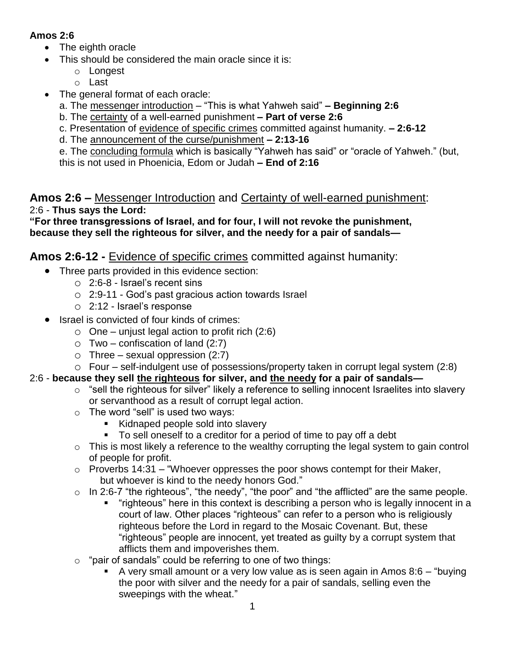### **Amos 2:6**

- The eighth oracle
- This should be considered the main oracle since it is:
	- o Longest
	- o Last
- The general format of each oracle:
	- a. The messenger introduction "This is what Yahweh said" **– Beginning 2:6**
	- b. The certainty of a well-earned punishment **– Part of verse 2:6**
	- c. Presentation of evidence of specific crimes committed against humanity. **– 2:6-12**
	- d. The announcement of the curse/punishment **– 2:13-16**

e. The concluding formula which is basically "Yahweh has said" or "oracle of Yahweh." (but, this is not used in Phoenicia, Edom or Judah **– End of 2:16**

## **Amos 2:6 –** Messenger Introduction and Certainty of well-earned punishment: 2:6 - **Thus says the Lord:**

**"For three transgressions of Israel, and for four, I will not revoke the punishment, because they sell the righteous for silver, and the needy for a pair of sandals—**

# **Amos 2:6-12 -** Evidence of specific crimes committed against humanity:

- Three parts provided in this evidence section:
	- o 2:6-8 Israel's recent sins
	- o 2:9-11 God's past gracious action towards Israel
	- o 2:12 Israel's response
- Israel is convicted of four kinds of crimes:
	- $\circ$  One unjust legal action to profit rich (2:6)
	- $\circ$  Two confiscation of land (2:7)
	- $\circ$  Three sexual oppression (2:7)

### o Four – self-indulgent use of possessions/property taken in corrupt legal system (2:8)

## 2:6 - **because they sell the righteous for silver, and the needy for a pair of sandals—**

- $\circ$  "sell the righteous for silver" likely a reference to selling innocent Israelites into slavery or servanthood as a result of corrupt legal action.
- $\circ$  The word "sell" is used two ways:
	- Kidnaped people sold into slavery
	- To sell oneself to a creditor for a period of time to pay off a debt
- $\circ$  This is most likely a reference to the wealthy corrupting the legal system to gain control of people for profit.
- $\circ$  Proverbs 14:31 "Whoever oppresses the poor shows contempt for their Maker, but whoever is kind to the needy honors God."
- o In 2:6-7 "the righteous", "the needy", "the poor" and "the afflicted" are the same people.
	- "righteous" here in this context is describing a person who is legally innocent in a court of law. Other places "righteous" can refer to a person who is religiously righteous before the Lord in regard to the Mosaic Covenant. But, these "righteous" people are innocent, yet treated as guilty by a corrupt system that afflicts them and impoverishes them.
- $\circ$  "pair of sandals" could be referring to one of two things:
	- A very small amount or a very low value as is seen again in Amos  $8:6 -$  "buying" the poor with silver and the needy for a pair of sandals, selling even the sweepings with the wheat."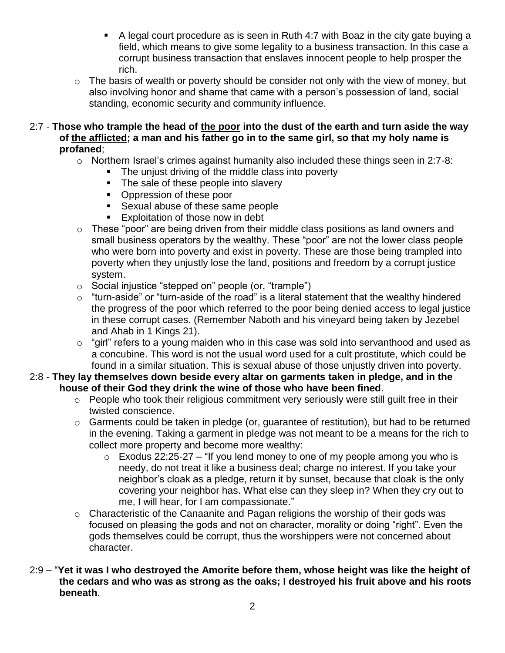- A legal court procedure as is seen in Ruth 4:7 with Boaz in the city gate buying a field, which means to give some legality to a business transaction. In this case a corrupt business transaction that enslaves innocent people to help prosper the rich.
- $\circ$  The basis of wealth or poverty should be consider not only with the view of money, but also involving honor and shame that came with a person's possession of land, social standing, economic security and community influence.
- 2:7 **Those who trample the head of the poor into the dust of the earth and turn aside the way of the afflicted; a man and his father go in to the same girl, so that my holy name is profaned**;
	- o Northern Israel's crimes against humanity also included these things seen in 2:7-8:
		- **The unjust driving of the middle class into poverty** 
			- The sale of these people into slavery
			- Oppression of these poor
			- **Sexual abuse of these same people**
			- **Exploitation of those now in debt**
	- o These "poor" are being driven from their middle class positions as land owners and small business operators by the wealthy. These "poor" are not the lower class people who were born into poverty and exist in poverty. These are those being trampled into poverty when they unjustly lose the land, positions and freedom by a corrupt justice system.
	- o Social injustice "stepped on" people (or, "trample")
	- $\circ$  "turn-aside" or "turn-aside of the road" is a literal statement that the wealthy hindered the progress of the poor which referred to the poor being denied access to legal justice in these corrupt cases. (Remember Naboth and his vineyard being taken by Jezebel and Ahab in 1 Kings 21).
	- $\circ$  "girl" refers to a young maiden who in this case was sold into servanthood and used as a concubine. This word is not the usual word used for a cult prostitute, which could be found in a similar situation. This is sexual abuse of those unjustly driven into poverty.

#### 2:8 - **They lay themselves down beside every altar on garments taken in pledge, and in the house of their God they drink the wine of those who have been fined**.

- o People who took their religious commitment very seriously were still guilt free in their twisted conscience.
- o Garments could be taken in pledge (or, guarantee of restitution), but had to be returned in the evening. Taking a garment in pledge was not meant to be a means for the rich to collect more property and become more wealthy:
	- $\circ$  Exodus 22:25-27 "If you lend money to one of my people among you who is needy, do not treat it like a business deal; charge no interest. If you take your neighbor's cloak as a pledge, return it by sunset, because that cloak is the only covering your neighbor has. What else can they sleep in? When they cry out to me, I will hear, for I am compassionate."
- o Characteristic of the Canaanite and Pagan religions the worship of their gods was focused on pleasing the gods and not on character, morality or doing "right". Even the gods themselves could be corrupt, thus the worshippers were not concerned about character.
- 2:9 "**Yet it was I who destroyed the Amorite before them, whose height was like the height of the cedars and who was as strong as the oaks; I destroyed his fruit above and his roots beneath**.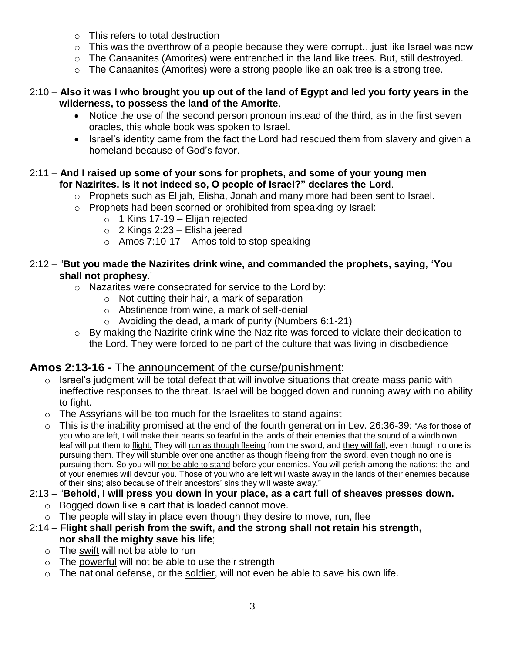- o This refers to total destruction
- $\circ$  This was the overthrow of a people because they were corrupt... just like Israel was now
- o The Canaanites (Amorites) were entrenched in the land like trees. But, still destroyed.
- o The Canaanites (Amorites) were a strong people like an oak tree is a strong tree.

#### 2:10 – **Also it was I who brought you up out of the land of Egypt and led you forty years in the wilderness, to possess the land of the Amorite**.

- Notice the use of the second person pronoun instead of the third, as in the first seven oracles, this whole book was spoken to Israel.
- Israel's identity came from the fact the Lord had rescued them from slavery and given a homeland because of God's favor.

#### 2:11 – **And I raised up some of your sons for prophets, and some of your young men for Nazirites. Is it not indeed so, O people of Israel?" declares the Lord**.

- o Prophets such as Elijah, Elisha, Jonah and many more had been sent to Israel.
- o Prophets had been scorned or prohibited from speaking by Israel:
	- $\circ$  1 Kins 17-19 Elijah rejected
	- $\circ$  2 Kings 2:23 Elisha jeered
	- $\circ$  Amos 7:10-17 Amos told to stop speaking

#### 2:12 – "**But you made the Nazirites drink wine, and commanded the prophets, saying, 'You shall not prophesy**.'

- o Nazarites were consecrated for service to the Lord by:
	- o Not cutting their hair, a mark of separation
	- o Abstinence from wine, a mark of self-denial
	- $\circ$  Avoiding the dead, a mark of purity (Numbers 6:1-21)
- o By making the Nazirite drink wine the Nazirite was forced to violate their dedication to the Lord. They were forced to be part of the culture that was living in disobedience

### **Amos 2:13-16 -** The announcement of the curse/punishment:

- $\circ$  Israel's judgment will be total defeat that will involve situations that create mass panic with ineffective responses to the threat. Israel will be bogged down and running away with no ability to fight.
- o The Assyrians will be too much for the Israelites to stand against
- o This is the inability promised at the end of the fourth generation in Lev. 26:36-39: "As for those of you who are left, I will make their hearts so fearful in the lands of their enemies that the sound of a windblown leaf will put them to flight. They will run as though fleeing from the sword, and they will fall, even though no one is pursuing them. They will stumble over one another as though fleeing from the sword, even though no one is pursuing them. So you will not be able to stand before your enemies. You will perish among the nations; the land of your enemies will devour you. Those of you who are left will waste away in the lands of their enemies because of their sins; also because of their ancestors' sins they will waste away."

### 2:13 – "**Behold, I will press you down in your place, as a cart full of sheaves presses down.**

- o Bogged down like a cart that is loaded cannot move.
- $\circ$  The people will stay in place even though they desire to move, run, flee
- 2:14 **Flight shall perish from the swift, and the strong shall not retain his strength, nor shall the mighty save his life**;
	- o The swift will not be able to run
	- o The powerful will not be able to use their strength
	- o The national defense, or the soldier, will not even be able to save his own life.